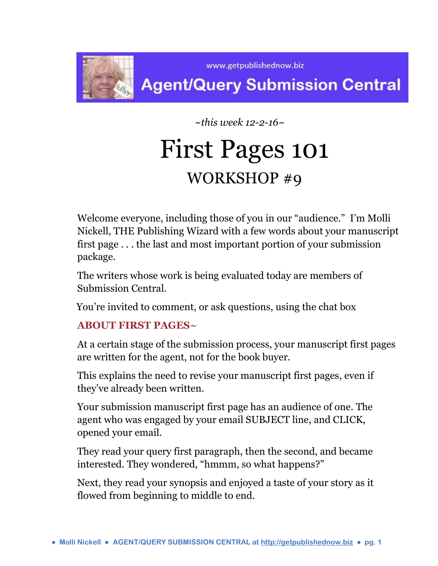

www.getpublishednow.biz

## **Agent/Query Submission Central**

 *~this week 12-2-16~*

# First Pages 101 WORKSHOP #9

Welcome everyone, including those of you in our "audience." I'm Molli Nickell, THE Publishing Wizard with a few words about your manuscript first page . . . the last and most important portion of your submission package.

The writers whose work is being evaluated today are members of Submission Central.

You're invited to comment, or ask questions, using the chat box

## **ABOUT FIRST PAGES~**

At a certain stage of the submission process, your manuscript first pages are written for the agent, not for the book buyer.

This explains the need to revise your manuscript first pages, even if they've already been written.

Your submission manuscript first page has an audience of one. The agent who was engaged by your email SUBJECT line, and CLICK, opened your email.

They read your query first paragraph, then the second, and became interested. They wondered, "hmmm, so what happens?"

Next, they read your synopsis and enjoyed a taste of your story as it flowed from beginning to middle to end.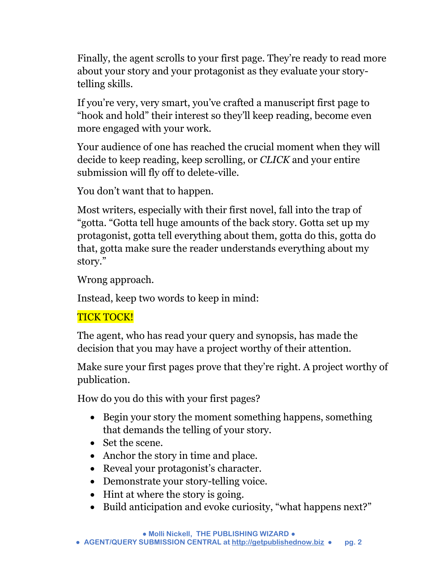Finally, the agent scrolls to your first page. They're ready to read more about your story and your protagonist as they evaluate your storytelling skills.

If you're very, very smart, you've crafted a manuscript first page to "hook and hold" their interest so they'll keep reading, become even more engaged with your work.

Your audience of one has reached the crucial moment when they will decide to keep reading, keep scrolling, or *CLICK* and your entire submission will fly off to delete-ville.

You don't want that to happen.

Most writers, especially with their first novel, fall into the trap of "gotta. "Gotta tell huge amounts of the back story. Gotta set up my protagonist, gotta tell everything about them, gotta do this, gotta do that, gotta make sure the reader understands everything about my story."

Wrong approach.

Instead, keep two words to keep in mind:

## TICK TOCK!

The agent, who has read your query and synopsis, has made the decision that you may have a project worthy of their attention.

Make sure your first pages prove that they're right. A project worthy of publication.

How do you do this with your first pages?

- Begin your story the moment something happens, something that demands the telling of your story.
- Set the scene.
- Anchor the story in time and place.
- Reveal your protagonist's character.
- Demonstrate your story-telling voice.
- Hint at where the story is going.
- Build anticipation and evoke curiosity, "what happens next?"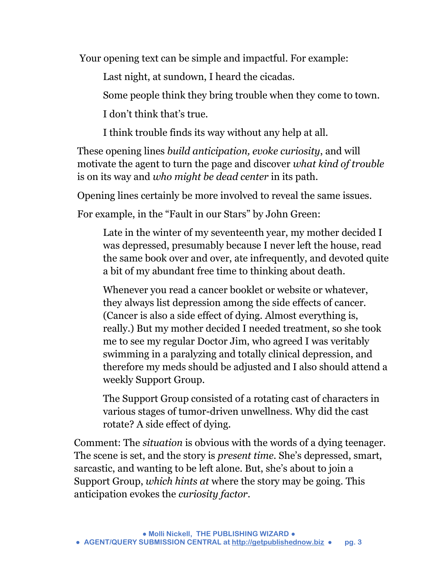Your opening text can be simple and impactful. For example:

Last night, at sundown, I heard the cicadas.

Some people think they bring trouble when they come to town.

I don't think that's true.

I think trouble finds its way without any help at all.

These opening lines *build anticipation, evoke curiosity*, and will motivate the agent to turn the page and discover *what kind of trouble* is on its way and *who might be dead center* in its path.

Opening lines certainly be more involved to reveal the same issues.

For example, in the "Fault in our Stars" by John Green:

Late in the winter of my seventeenth year, my mother decided I was depressed, presumably because I never left the house, read the same book over and over, ate infrequently, and devoted quite a bit of my abundant free time to thinking about death.

Whenever you read a cancer booklet or website or whatever, they always list depression among the side effects of cancer. (Cancer is also a side effect of dying. Almost everything is, really.) But my mother decided I needed treatment, so she took me to see my regular Doctor Jim, who agreed I was veritably swimming in a paralyzing and totally clinical depression, and therefore my meds should be adjusted and I also should attend a weekly Support Group.

The Support Group consisted of a rotating cast of characters in various stages of tumor-driven unwellness. Why did the cast rotate? A side effect of dying.

Comment: The *situation* is obvious with the words of a dying teenager. The scene is set, and the story is *present time.* She's depressed, smart, sarcastic, and wanting to be left alone. But, she's about to join a Support Group, *which hints at* where the story may be going. This anticipation evokes the *curiosity factor*.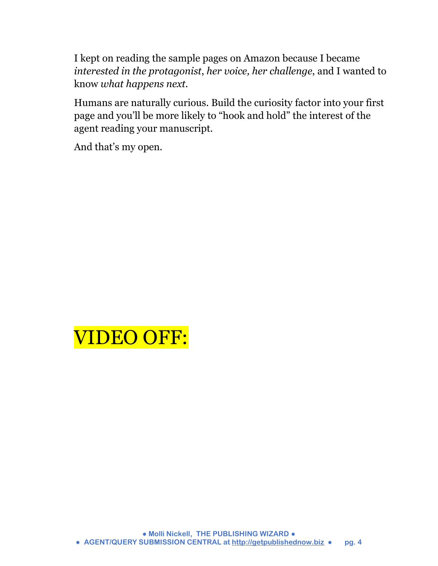I kept on reading the sample pages on Amazon because I became *interested in the protagonist*, *her voice, her challenge*, and I wanted to know *what happens next.*

Humans are naturally curious. Build the curiosity factor into your first page and you'll be more likely to "hook and hold" the interest of the agent reading your manuscript.

And that's my open.

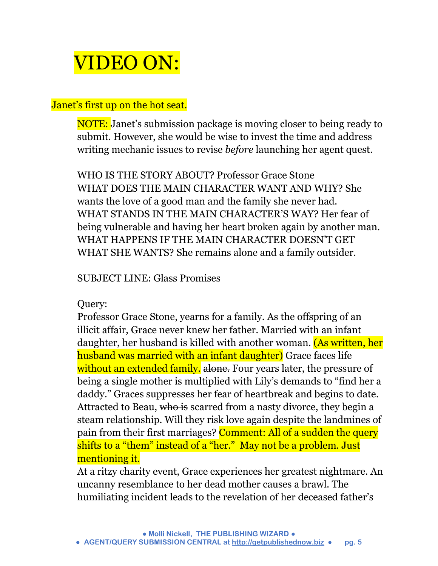## VIDEO ON:

#### Janet's first up on the hot seat.

NOTE: Janet's submission package is moving closer to being ready to submit. However, she would be wise to invest the time and address writing mechanic issues to revise *before* launching her agent quest.

WHO IS THE STORY ABOUT? Professor Grace Stone WHAT DOES THE MAIN CHARACTER WANT AND WHY? She wants the love of a good man and the family she never had. WHAT STANDS IN THE MAIN CHARACTER'S WAY? Her fear of being vulnerable and having her heart broken again by another man. WHAT HAPPENS IF THE MAIN CHARACTER DOESN'T GET WHAT SHE WANTS? She remains alone and a family outsider.

#### SUBJECT LINE: Glass Promises

#### Query:

Professor Grace Stone, yearns for a family. As the offspring of an illicit affair, Grace never knew her father. Married with an infant daughter, her husband is killed with another woman. (As written, her husband was married with an infant daughter) Grace faces life without an extended family. alone. Four years later, the pressure of being a single mother is multiplied with Lily's demands to "find her a daddy." Graces suppresses her fear of heartbreak and begins to date. Attracted to Beau, who is scarred from a nasty divorce, they begin a steam relationship. Will they risk love again despite the landmines of pain from their first marriages? Comment: All of a sudden the query shifts to a "them" instead of a "her." May not be a problem. Just mentioning it.

At a ritzy charity event, Grace experiences her greatest nightmare. An uncanny resemblance to her dead mother causes a brawl. The humiliating incident leads to the revelation of her deceased father's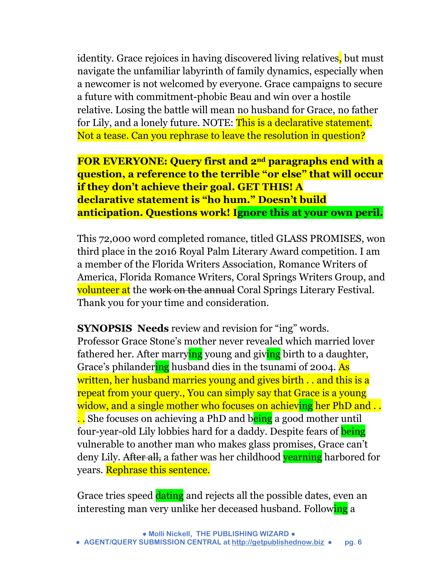identity. Grace rejoices in having discovered living relatives, but must navigate the unfamiliar labyrinth of family dynamics, especially when a newcomer is not welcomed by everyone. Grace campaigns to secure a future with commitment-phobic Beau and win over a hostile relative. Losing the battle will mean no husband for Grace, no father for Lily, and a lonely future. NOTE: This is a declarative statement. Not a tease. Can you rephrase to leave the resolution in question?

**FOR EVERYONE: Query first and 2nd paragraphs end with a question, a reference to the terrible "or else" that will occur if they don't achieve their goal. GET THIS! A declarative statement is "ho hum." Doesn't build anticipation. Questions work! Ignore this at your own peril.**

This 72,000 word completed romance, titled GLASS PROMISES, won third place in the 2016 Royal Palm Literary Award competition. I am a member of the Florida Writers Association, Romance Writers of America, Florida Romance Writers, Coral Springs Writers Group, and volunteer at the work on the annual Coral Springs Literary Festival. Thank you for your time and consideration.

**SYNOPSIS Needs** review and revision for "ing" words. Professor Grace Stone's mother never revealed which married lover fathered her. After marrying young and giving birth to a daughter, Grace's philandering husband dies in the tsunami of 2004. As written, her husband marries young and gives birth.. and this is a repeat from your query., You can simply say that Grace is a young widow, and a single mother who focuses on achieving her PhD and ... .. She focuses on achieving a PhD and being a good mother until four-year-old Lily lobbies hard for a daddy. Despite fears of **being** vulnerable to another man who makes glass promises, Grace can't deny Lily. After all, a father was her childhood vearning harbored for years. Rephrase this sentence.

Grace tries speed dating and rejects all the possible dates, even an interesting man very unlike her deceased husband. Following a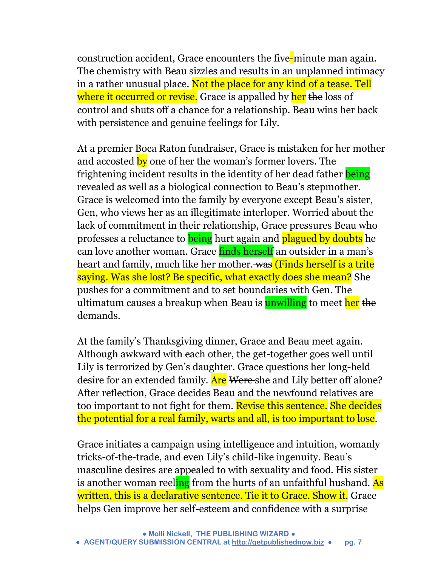construction accident, Grace encounters the five-minute man again. The chemistry with Beau sizzles and results in an unplanned intimacy in a rather unusual place. Not the place for any kind of a tease. Tell where it occurred or revise. Grace is appalled by her the loss of control and shuts off a chance for a relationship. Beau wins her back with persistence and genuine feelings for Lily.

At a premier Boca Raton fundraiser, Grace is mistaken for her mother and accosted by one of her the woman's former lovers. The frightening incident results in the identity of her dead father being revealed as well as a biological connection to Beau's stepmother. Grace is welcomed into the family by everyone except Beau's sister, Gen, who views her as an illegitimate interloper. Worried about the lack of commitment in their relationship, Grace pressures Beau who professes a reluctance to **being** hurt again and **plagued by doubts** he can love another woman. Grace finds herself an outsider in a man's heart and family, much like her mother. was (Finds herself is a trite saying. Was she lost? Be specific, what exactly does she mean? She pushes for a commitment and to set boundaries with Gen. The ultimatum causes a breakup when Beau is **unwilling** to meet her the demands.

At the family's Thanksgiving dinner, Grace and Beau meet again. Although awkward with each other, the get-together goes well until Lily is terrorized by Gen's daughter. Grace questions her long-held desire for an extended family. Are Were she and Lily better off alone? After reflection, Grace decides Beau and the newfound relatives are too important to not fight for them. Revise this sentence. She decides the potential for a real family, warts and all, is too important to lose.

Grace initiates a campaign using intelligence and intuition, womanly tricks-of-the-trade, and even Lily's child-like ingenuity. Beau's masculine desires are appealed to with sexuality and food. His sister is another woman reeling from the hurts of an unfaithful husband. As written, this is a declarative sentence. Tie it to Grace. Show it. Grace helps Gen improve her self-esteem and confidence with a surprise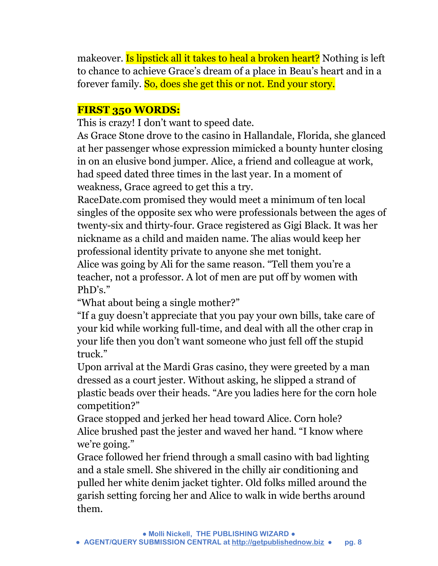makeover. Is lipstick all it takes to heal a broken heart? Nothing is left to chance to achieve Grace's dream of a place in Beau's heart and in a forever family. So, does she get this or not. End your story.

## **FIRST 350 WORDS:**

This is crazy! I don't want to speed date.

As Grace Stone drove to the casino in Hallandale, Florida, she glanced at her passenger whose expression mimicked a bounty hunter closing in on an elusive bond jumper. Alice, a friend and colleague at work, had speed dated three times in the last year. In a moment of weakness, Grace agreed to get this a try.

RaceDate.com promised they would meet a minimum of ten local singles of the opposite sex who were professionals between the ages of twenty-six and thirty-four. Grace registered as Gigi Black. It was her nickname as a child and maiden name. The alias would keep her professional identity private to anyone she met tonight.

Alice was going by Ali for the same reason. "Tell them you're a teacher, not a professor. A lot of men are put off by women with PhD's."

"What about being a single mother?"

"If a guy doesn't appreciate that you pay your own bills, take care of your kid while working full-time, and deal with all the other crap in your life then you don't want someone who just fell off the stupid truck."

Upon arrival at the Mardi Gras casino, they were greeted by a man dressed as a court jester. Without asking, he slipped a strand of plastic beads over their heads. "Are you ladies here for the corn hole competition?"

Grace stopped and jerked her head toward Alice. Corn hole? Alice brushed past the jester and waved her hand. "I know where we're going."

Grace followed her friend through a small casino with bad lighting and a stale smell. She shivered in the chilly air conditioning and pulled her white denim jacket tighter. Old folks milled around the garish setting forcing her and Alice to walk in wide berths around them.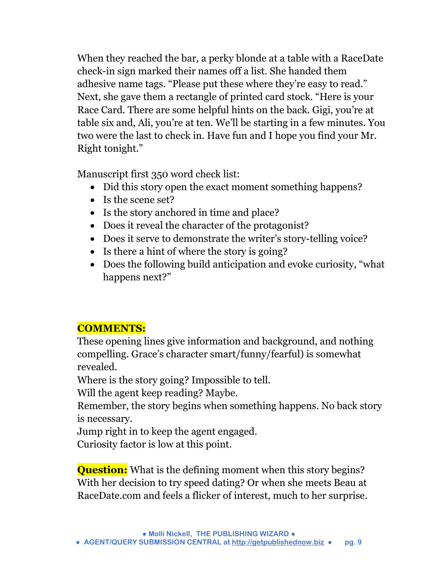When they reached the bar, a perky blonde at a table with a RaceDate check-in sign marked their names off a list. She handed them adhesive name tags. "Please put these where they're easy to read." Next, she gave them a rectangle of printed card stock. "Here is your Race Card. There are some helpful hints on the back. Gigi, you're at table six and, Ali, you're at ten. We'll be starting in a few minutes. You two were the last to check in. Have fun and I hope you find your Mr. Right tonight."

Manuscript first 350 word check list:

- Did this story open the exact moment something happens?
- Is the scene set?
- Is the story anchored in time and place?
- Does it reveal the character of the protagonist?
- Does it serve to demonstrate the writer's story-telling voice?
- Is there a hint of where the story is going?
- Does the following build anticipation and evoke curiosity, "what happens next?"

## **COMMENTS:**

These opening lines give information and background, and nothing compelling. Grace's character smart/funny/fearful) is somewhat revealed.

Where is the story going? Impossible to tell.

Will the agent keep reading? Maybe.

Remember, the story begins when something happens. No back story is necessary.

Jump right in to keep the agent engaged.

Curiosity factor is low at this point.

**Question:** What is the defining moment when this story begins? With her decision to try speed dating? Or when she meets Beau at RaceDate.com and feels a flicker of interest, much to her surprise.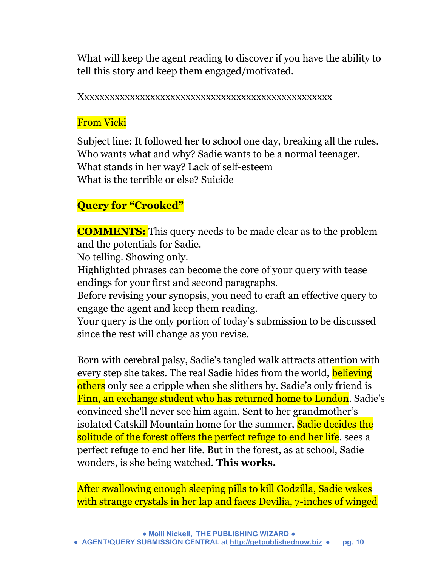What will keep the agent reading to discover if you have the ability to tell this story and keep them engaged/motivated.

Xxxxxxxxxxxxxxxxxxxxxxxxxxxxxxxxxxxxxxxxxxxxxxxxxx

## From Vicki

Subject line: It followed her to school one day, breaking all the rules. Who wants what and why? Sadie wants to be a normal teenager. What stands in her way? Lack of self-esteem What is the terrible or else? Suicide

## **Query for "Crooked"**

**COMMENTS:** This query needs to be made clear as to the problem and the potentials for Sadie.

No telling. Showing only.

Highlighted phrases can become the core of your query with tease endings for your first and second paragraphs.

Before revising your synopsis, you need to craft an effective query to engage the agent and keep them reading.

Your query is the only portion of today's submission to be discussed since the rest will change as you revise.

Born with cerebral palsy, Sadie's tangled walk attracts attention with every step she takes. The real Sadie hides from the world, believing others only see a cripple when she slithers by. Sadie's only friend is Finn, an exchange student who has returned home to London. Sadie's convinced she'll never see him again. Sent to her grandmother's isolated Catskill Mountain home for the summer, Sadie decides the solitude of the forest offers the perfect refuge to end her life. sees a perfect refuge to end her life. But in the forest, as at school, Sadie wonders, is she being watched. **This works.**

After swallowing enough sleeping pills to kill Godzilla, Sadie wakes with strange crystals in her lap and faces Devilia, 7-inches of winged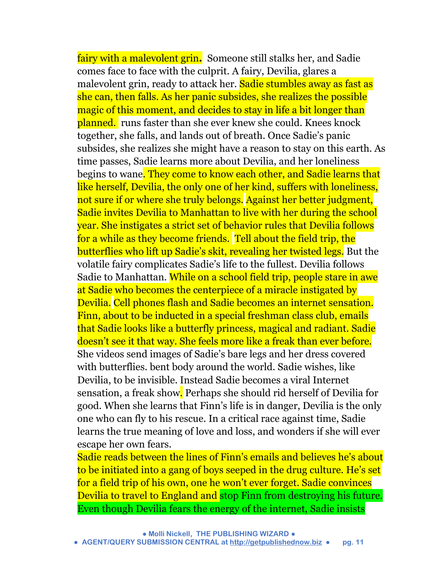fairy with a malevolent grin**.** Someone still stalks her, and Sadie comes face to face with the culprit. A fairy, Devilia, glares a malevolent grin, ready to attack her. Sadie stumbles away as fast as she can, then falls. As her panic subsides, she realizes the possible magic of this moment, and decides to stay in life a bit longer than planned. runs faster than she ever knew she could. Knees knock together, she falls, and lands out of breath. Once Sadie's panic subsides, she realizes she might have a reason to stay on this earth. As time passes, Sadie learns more about Devilia, and her loneliness begins to wane. They come to know each other, and Sadie learns that like herself, Devilia, the only one of her kind, suffers with loneliness, not sure if or where she truly belongs. Against her better judgment, Sadie invites Devilia to Manhattan to live with her during the school year. She instigates a strict set of behavior rules that Devilia follows for a while as they become friends. Tell about the field trip, the butterflies who lift up Sadie's skit, revealing her twisted legs. But the volatile fairy complicates Sadie's life to the fullest. Devilia follows Sadie to Manhattan. While on a school field trip, people stare in awe at Sadie who becomes the centerpiece of a miracle instigated by Devilia. Cell phones flash and Sadie becomes an internet sensation. Finn, about to be inducted in a special freshman class club, emails that Sadie looks like a butterfly princess, magical and radiant. Sadie doesn't see it that way. She feels more like a freak than ever before. She videos send images of Sadie's bare legs and her dress covered with butterflies. bent body around the world. Sadie wishes, like Devilia, to be invisible. Instead Sadie becomes a viral Internet sensation, a freak show. Perhaps she should rid herself of Devilia for good. When she learns that Finn's life is in danger, Devilia is the only one who can fly to his rescue. In a critical race against time, Sadie learns the true meaning of love and loss, and wonders if she will ever escape her own fears.

Sadie reads between the lines of Finn's emails and believes he's about to be initiated into a gang of boys seeped in the drug culture. He's set for a field trip of his own, one he won't ever forget. Sadie convinces Devilia to travel to England and stop Finn from destroying his future. Even though Devilia fears the energy of the internet, Sadie insists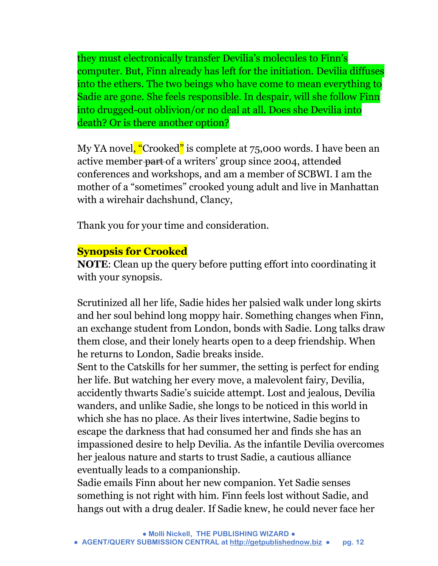they must electronically transfer Devilia's molecules to Finn's computer. But, Finn already has left for the initiation. Devilia diffuses into the ethers. The two beings who have come to mean everything to Sadie are gone. She feels responsible. In despair, will she follow Finn into drugged-out oblivion/or no deal at all. Does she Devilia into death? Or is there another option?

My YA novel, "Crooked" is complete at 75,000 words. I have been an active member part of a writers' group since 2004, attended conferences and workshops, and am a member of SCBWI. I am the mother of a "sometimes" crooked young adult and live in Manhattan with a wirehair dachshund, Clancy,

Thank you for your time and consideration.

## **Synopsis for Crooked**

**NOTE**: Clean up the query before putting effort into coordinating it with your synopsis.

Scrutinized all her life, Sadie hides her palsied walk under long skirts and her soul behind long moppy hair. Something changes when Finn, an exchange student from London, bonds with Sadie. Long talks draw them close, and their lonely hearts open to a deep friendship. When he returns to London, Sadie breaks inside.

Sent to the Catskills for her summer, the setting is perfect for ending her life. But watching her every move, a malevolent fairy, Devilia, accidently thwarts Sadie's suicide attempt. Lost and jealous, Devilia wanders, and unlike Sadie, she longs to be noticed in this world in which she has no place. As their lives intertwine, Sadie begins to escape the darkness that had consumed her and finds she has an impassioned desire to help Devilia. As the infantile Devilia overcomes her jealous nature and starts to trust Sadie, a cautious alliance eventually leads to a companionship.

Sadie emails Finn about her new companion. Yet Sadie senses something is not right with him. Finn feels lost without Sadie, and hangs out with a drug dealer. If Sadie knew, he could never face her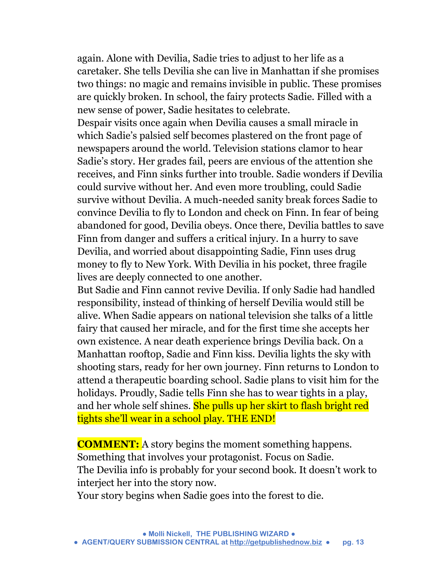again. Alone with Devilia, Sadie tries to adjust to her life as a caretaker. She tells Devilia she can live in Manhattan if she promises two things: no magic and remains invisible in public. These promises are quickly broken. In school, the fairy protects Sadie. Filled with a new sense of power, Sadie hesitates to celebrate.

Despair visits once again when Devilia causes a small miracle in which Sadie's palsied self becomes plastered on the front page of newspapers around the world. Television stations clamor to hear Sadie's story. Her grades fail, peers are envious of the attention she receives, and Finn sinks further into trouble. Sadie wonders if Devilia could survive without her. And even more troubling, could Sadie survive without Devilia. A much-needed sanity break forces Sadie to convince Devilia to fly to London and check on Finn. In fear of being abandoned for good, Devilia obeys. Once there, Devilia battles to save Finn from danger and suffers a critical injury. In a hurry to save Devilia, and worried about disappointing Sadie, Finn uses drug money to fly to New York. With Devilia in his pocket, three fragile lives are deeply connected to one another.

But Sadie and Finn cannot revive Devilia. If only Sadie had handled responsibility, instead of thinking of herself Devilia would still be alive. When Sadie appears on national television she talks of a little fairy that caused her miracle, and for the first time she accepts her own existence. A near death experience brings Devilia back. On a Manhattan rooftop, Sadie and Finn kiss. Devilia lights the sky with shooting stars, ready for her own journey. Finn returns to London to attend a therapeutic boarding school. Sadie plans to visit him for the holidays. Proudly, Sadie tells Finn she has to wear tights in a play, and her whole self shines. She pulls up her skirt to flash bright red tights she'll wear in a school play. THE END!

**COMMENT:** A story begins the moment something happens. Something that involves your protagonist. Focus on Sadie. The Devilia info is probably for your second book. It doesn't work to interject her into the story now.

Your story begins when Sadie goes into the forest to die.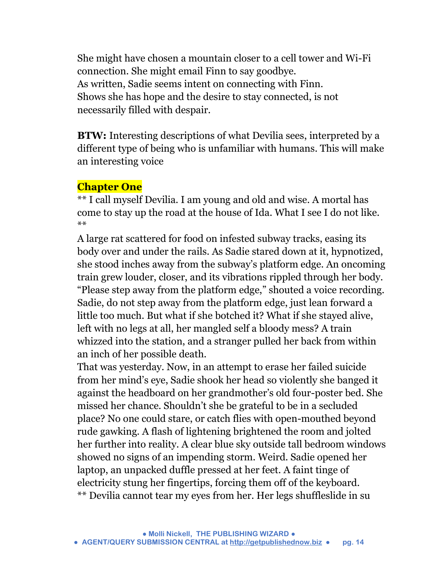She might have chosen a mountain closer to a cell tower and Wi-Fi connection. She might email Finn to say goodbye. As written, Sadie seems intent on connecting with Finn. Shows she has hope and the desire to stay connected, is not necessarily filled with despair.

**BTW:** Interesting descriptions of what Devilia sees, interpreted by a different type of being who is unfamiliar with humans. This will make an interesting voice

#### **Chapter One**

\*\* I call myself Devilia. I am young and old and wise. A mortal has come to stay up the road at the house of Ida. What I see I do not like. \*\*

A large rat scattered for food on infested subway tracks, easing its body over and under the rails. As Sadie stared down at it, hypnotized, she stood inches away from the subway's platform edge. An oncoming train grew louder, closer, and its vibrations rippled through her body. "Please step away from the platform edge," shouted a voice recording. Sadie, do not step away from the platform edge, just lean forward a little too much. But what if she botched it? What if she stayed alive, left with no legs at all, her mangled self a bloody mess? A train whizzed into the station, and a stranger pulled her back from within an inch of her possible death.

That was yesterday. Now, in an attempt to erase her failed suicide from her mind's eye, Sadie shook her head so violently she banged it against the headboard on her grandmother's old four-poster bed. She missed her chance. Shouldn't she be grateful to be in a secluded place? No one could stare, or catch flies with open-mouthed beyond rude gawking. A flash of lightening brightened the room and jolted her further into reality. A clear blue sky outside tall bedroom windows showed no signs of an impending storm. Weird. Sadie opened her laptop, an unpacked duffle pressed at her feet. A faint tinge of electricity stung her fingertips, forcing them off of the keyboard. \*\* Devilia cannot tear my eyes from her. Her legs shuffleslide in su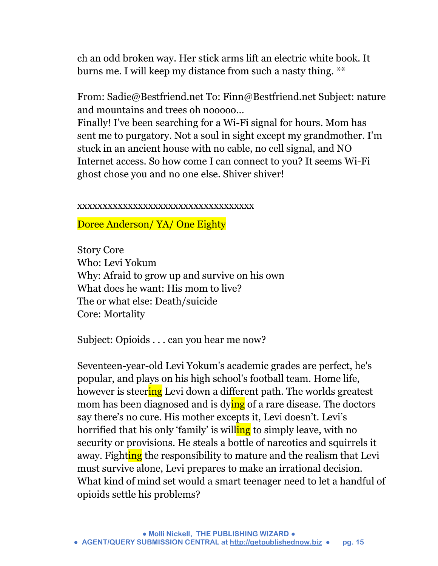ch an odd broken way. Her stick arms lift an electric white book. It burns me. I will keep my distance from such a nasty thing. \*\*

From: Sadie@Bestfriend.net To: Finn@Bestfriend.net Subject: nature and mountains and trees oh nooooo…

Finally! I've been searching for a Wi-Fi signal for hours. Mom has sent me to purgatory. Not a soul in sight except my grandmother. I'm stuck in an ancient house with no cable, no cell signal, and NO Internet access. So how come I can connect to you? It seems Wi-Fi ghost chose you and no one else. Shiver shiver!

#### xxxxxxxxxxxxxxxxxxxxxxxxxxxxxxxxxxx

Doree Anderson/ YA/ One Eighty

Story Core Who: Levi Yokum Why: Afraid to grow up and survive on his own What does he want: His mom to live? The or what else: Death/suicide Core: Mortality

Subject: Opioids . . . can you hear me now?

Seventeen-year-old Levi Yokum's academic grades are perfect, he's popular, and plays on his high school's football team. Home life, however is steering Levi down a different path. The worlds greatest mom has been diagnosed and is dying of a rare disease. The doctors say there's no cure. His mother excepts it, Levi doesn't. Levi's horrified that his only 'family' is willing to simply leave, with no security or provisions. He steals a bottle of narcotics and squirrels it away. Fighting the responsibility to mature and the realism that Levi must survive alone, Levi prepares to make an irrational decision. What kind of mind set would a smart teenager need to let a handful of opioids settle his problems?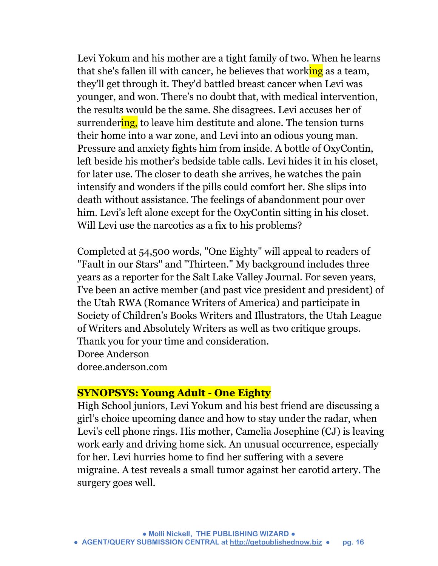Levi Yokum and his mother are a tight family of two. When he learns that she's fallen ill with cancer, he believes that working as a team, they'll get through it. They'd battled breast cancer when Levi was younger, and won. There's no doubt that, with medical intervention, the results would be the same. She disagrees. Levi accuses her of surrendering, to leave him destitute and alone. The tension turns their home into a war zone, and Levi into an odious young man. Pressure and anxiety fights him from inside. A bottle of OxyContin, left beside his mother's bedside table calls. Levi hides it in his closet, for later use. The closer to death she arrives, he watches the pain intensify and wonders if the pills could comfort her. She slips into death without assistance. The feelings of abandonment pour over him. Levi's left alone except for the OxyContin sitting in his closet. Will Levi use the narcotics as a fix to his problems?

Completed at 54,500 words, "One Eighty" will appeal to readers of "Fault in our Stars" and "Thirteen." My background includes three years as a reporter for the Salt Lake Valley Journal. For seven years, I've been an active member (and past vice president and president) of the Utah RWA (Romance Writers of America) and participate in Society of Children's Books Writers and Illustrators, the Utah League of Writers and Absolutely Writers as well as two critique groups. Thank you for your time and consideration. Doree Anderson doree.anderson.com

#### **SYNOPSYS: Young Adult - One Eighty**

High School juniors, Levi Yokum and his best friend are discussing a girl's choice upcoming dance and how to stay under the radar, when Levi's cell phone rings. His mother, Camelia Josephine (CJ) is leaving work early and driving home sick. An unusual occurrence, especially for her. Levi hurries home to find her suffering with a severe migraine. A test reveals a small tumor against her carotid artery. The surgery goes well.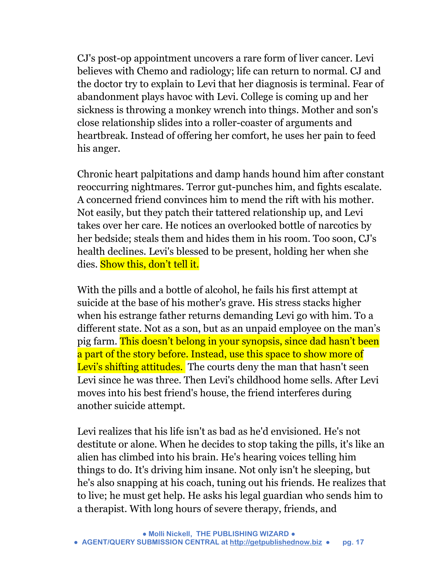CJ's post-op appointment uncovers a rare form of liver cancer. Levi believes with Chemo and radiology; life can return to normal. CJ and the doctor try to explain to Levi that her diagnosis is terminal. Fear of abandonment plays havoc with Levi. College is coming up and her sickness is throwing a monkey wrench into things. Mother and son's close relationship slides into a roller-coaster of arguments and heartbreak. Instead of offering her comfort, he uses her pain to feed his anger.

Chronic heart palpitations and damp hands hound him after constant reoccurring nightmares. Terror gut-punches him, and fights escalate. A concerned friend convinces him to mend the rift with his mother. Not easily, but they patch their tattered relationship up, and Levi takes over her care. He notices an overlooked bottle of narcotics by her bedside; steals them and hides them in his room. Too soon, CJ's health declines. Levi's blessed to be present, holding her when she dies. Show this, don't tell it.

With the pills and a bottle of alcohol, he fails his first attempt at suicide at the base of his mother's grave. His stress stacks higher when his estrange father returns demanding Levi go with him. To a different state. Not as a son, but as an unpaid employee on the man's pig farm. This doesn't belong in your synopsis, since dad hasn't been a part of the story before. Instead, use this space to show more of Levi's shifting attitudes. The courts deny the man that hasn't seen Levi since he was three. Then Levi's childhood home sells. After Levi moves into his best friend's house, the friend interferes during another suicide attempt.

Levi realizes that his life isn't as bad as he'd envisioned. He's not destitute or alone. When he decides to stop taking the pills, it's like an alien has climbed into his brain. He's hearing voices telling him things to do. It's driving him insane. Not only isn't he sleeping, but he's also snapping at his coach, tuning out his friends. He realizes that to live; he must get help. He asks his legal guardian who sends him to a therapist. With long hours of severe therapy, friends, and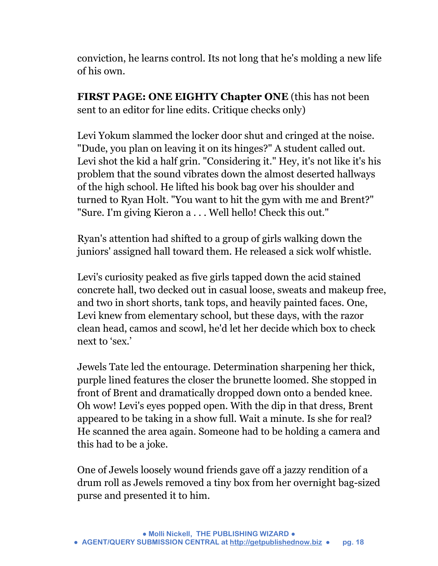conviction, he learns control. Its not long that he's molding a new life of his own.

**FIRST PAGE: ONE EIGHTY Chapter ONE** (this has not been sent to an editor for line edits. Critique checks only)

Levi Yokum slammed the locker door shut and cringed at the noise. "Dude, you plan on leaving it on its hinges?" A student called out. Levi shot the kid a half grin. "Considering it." Hey, it's not like it's his problem that the sound vibrates down the almost deserted hallways of the high school. He lifted his book bag over his shoulder and turned to Ryan Holt. "You want to hit the gym with me and Brent?" "Sure. I'm giving Kieron a . . . Well hello! Check this out."

Ryan's attention had shifted to a group of girls walking down the juniors' assigned hall toward them. He released a sick wolf whistle.

Levi's curiosity peaked as five girls tapped down the acid stained concrete hall, two decked out in casual loose, sweats and makeup free, and two in short shorts, tank tops, and heavily painted faces. One, Levi knew from elementary school, but these days, with the razor clean head, camos and scowl, he'd let her decide which box to check next to 'sex.'

Jewels Tate led the entourage. Determination sharpening her thick, purple lined features the closer the brunette loomed. She stopped in front of Brent and dramatically dropped down onto a bended knee. Oh wow! Levi's eyes popped open. With the dip in that dress, Brent appeared to be taking in a show full. Wait a minute. Is she for real? He scanned the area again. Someone had to be holding a camera and this had to be a joke.

One of Jewels loosely wound friends gave off a jazzy rendition of a drum roll as Jewels removed a tiny box from her overnight bag-sized purse and presented it to him.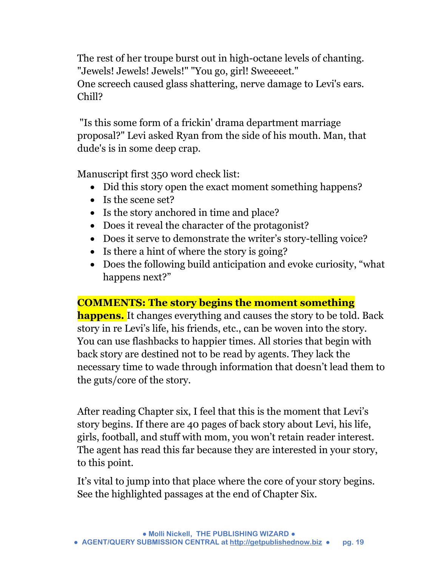The rest of her troupe burst out in high-octane levels of chanting. "Jewels! Jewels! Jewels!" "You go, girl! Sweeeeet." One screech caused glass shattering, nerve damage to Levi's ears. Chill?

"Is this some form of a frickin' drama department marriage proposal?" Levi asked Ryan from the side of his mouth. Man, that dude's is in some deep crap.

Manuscript first 350 word check list:

- Did this story open the exact moment something happens?
- Is the scene set?
- Is the story anchored in time and place?
- Does it reveal the character of the protagonist?
- Does it serve to demonstrate the writer's story-telling voice?
- Is there a hint of where the story is going?
- Does the following build anticipation and evoke curiosity, "what happens next?"

## **COMMENTS: The story begins the moment something**

**happens.** It changes everything and causes the story to be told. Back story in re Levi's life, his friends, etc., can be woven into the story. You can use flashbacks to happier times. All stories that begin with back story are destined not to be read by agents. They lack the necessary time to wade through information that doesn't lead them to the guts/core of the story.

After reading Chapter six, I feel that this is the moment that Levi's story begins. If there are 40 pages of back story about Levi, his life, girls, football, and stuff with mom, you won't retain reader interest. The agent has read this far because they are interested in your story, to this point.

It's vital to jump into that place where the core of your story begins. See the highlighted passages at the end of Chapter Six.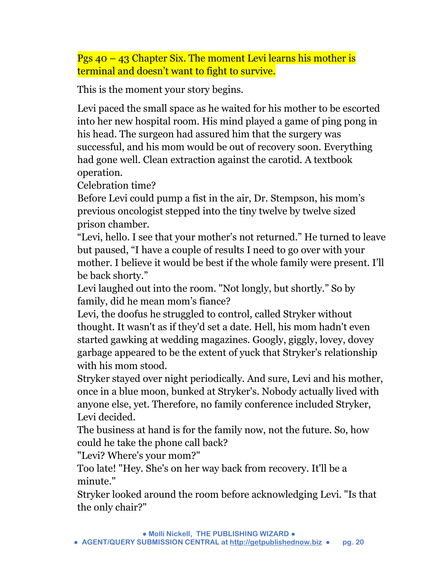Pgs 40 – 43 Chapter Six. The moment Levi learns his mother is terminal and doesn't want to fight to survive.

This is the moment your story begins.

Levi paced the small space as he waited for his mother to be escorted into her new hospital room. His mind played a game of ping pong in his head. The surgeon had assured him that the surgery was successful, and his mom would be out of recovery soon. Everything had gone well. Clean extraction against the carotid. A textbook operation.

Celebration time?

Before Levi could pump a fist in the air, Dr. Stempson, his mom's previous oncologist stepped into the tiny twelve by twelve sized prison chamber.

"Levi, hello. I see that your mother's not returned." He turned to leave but paused, "I have a couple of results I need to go over with your mother. I believe it would be best if the whole family were present. I'll be back shorty."

Levi laughed out into the room. "Not longly, but shortly." So by family, did he mean mom's fiance?

Levi, the doofus he struggled to control, called Stryker without thought. It wasn't as if they'd set a date. Hell, his mom hadn't even started gawking at wedding magazines. Googly, giggly, lovey, dovey garbage appeared to be the extent of yuck that Stryker's relationship with his mom stood.

Stryker stayed over night periodically. And sure, Levi and his mother, once in a blue moon, bunked at Stryker's. Nobody actually lived with anyone else, yet. Therefore, no family conference included Stryker, Levi decided.

The business at hand is for the family now, not the future. So, how could he take the phone call back?

"Levi? Where's your mom?"

Too late! "Hey. She's on her way back from recovery. It'll be a minute."

Stryker looked around the room before acknowledging Levi. "Is that the only chair?"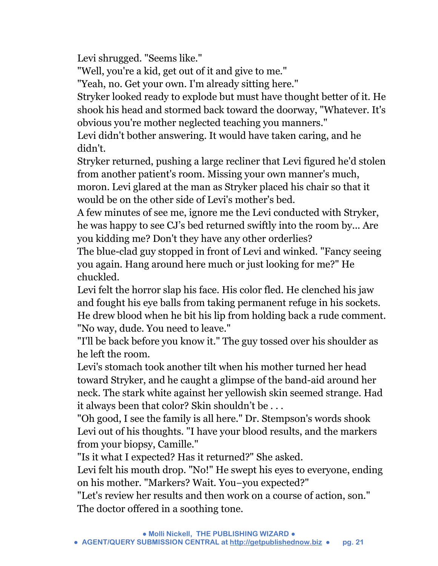Levi shrugged. "Seems like."

"Well, you're a kid, get out of it and give to me."

"Yeah, no. Get your own. I'm already sitting here."

Stryker looked ready to explode but must have thought better of it. He shook his head and stormed back toward the doorway, "Whatever. It's obvious you're mother neglected teaching you manners."

Levi didn't bother answering. It would have taken caring, and he didn't.

Stryker returned, pushing a large recliner that Levi figured he'd stolen from another patient's room. Missing your own manner's much, moron. Levi glared at the man as Stryker placed his chair so that it

would be on the other side of Levi's mother's bed.

A few minutes of see me, ignore me the Levi conducted with Stryker, he was happy to see CJ's bed returned swiftly into the room by... Are you kidding me? Don't they have any other orderlies?

The blue-clad guy stopped in front of Levi and winked. "Fancy seeing you again. Hang around here much or just looking for me?" He chuckled.

Levi felt the horror slap his face. His color fled. He clenched his jaw and fought his eye balls from taking permanent refuge in his sockets. He drew blood when he bit his lip from holding back a rude comment. "No way, dude. You need to leave."

"I'll be back before you know it." The guy tossed over his shoulder as he left the room.

Levi's stomach took another tilt when his mother turned her head toward Stryker, and he caught a glimpse of the band-aid around her neck. The stark white against her yellowish skin seemed strange. Had it always been that color? Skin shouldn't be . . .

"Oh good, I see the family is all here." Dr. Stempson's words shook Levi out of his thoughts. "I have your blood results, and the markers from your biopsy, Camille."

"Is it what I expected? Has it returned?" She asked.

Levi felt his mouth drop. "No!" He swept his eyes to everyone, ending on his mother. "Markers? Wait. You−you expected?"

"Let's review her results and then work on a course of action, son." The doctor offered in a soothing tone.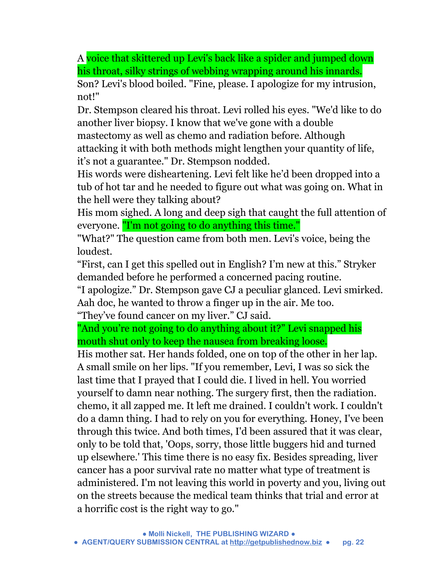A voice that skittered up Levi's back like a spider and jumped down his throat, silky strings of webbing wrapping around his innards.

Son? Levi's blood boiled. "Fine, please. I apologize for my intrusion, not!"

Dr. Stempson cleared his throat. Levi rolled his eyes. "We'd like to do another liver biopsy. I know that we've gone with a double mastectomy as well as chemo and radiation before. Although attacking it with both methods might lengthen your quantity of life, it's not a guarantee." Dr. Stempson nodded.

His words were disheartening. Levi felt like he'd been dropped into a tub of hot tar and he needed to figure out what was going on. What in the hell were they talking about?

His mom sighed. A long and deep sigh that caught the full attention of everyone. "I'm not going to do anything this time."

"What?" The question came from both men. Levi's voice, being the loudest.

"First, can I get this spelled out in English? I'm new at this." Stryker demanded before he performed a concerned pacing routine.

"I apologize." Dr. Stempson gave CJ a peculiar glanced. Levi smirked. Aah doc, he wanted to throw a finger up in the air. Me too. "They've found cancer on my liver." CJ said.

"And you're not going to do anything about it?" Levi snapped his mouth shut only to keep the nausea from breaking loose.

His mother sat. Her hands folded, one on top of the other in her lap. A small smile on her lips. "If you remember, Levi, I was so sick the last time that I prayed that I could die. I lived in hell. You worried yourself to damn near nothing. The surgery first, then the radiation. chemo, it all zapped me. It left me drained. I couldn't work. I couldn't do a damn thing. I had to rely on you for everything. Honey, I've been through this twice. And both times, I'd been assured that it was clear, only to be told that, 'Oops, sorry, those little buggers hid and turned up elsewhere.' This time there is no easy fix. Besides spreading, liver cancer has a poor survival rate no matter what type of treatment is administered. I'm not leaving this world in poverty and you, living out on the streets because the medical team thinks that trial and error at a horrific cost is the right way to go."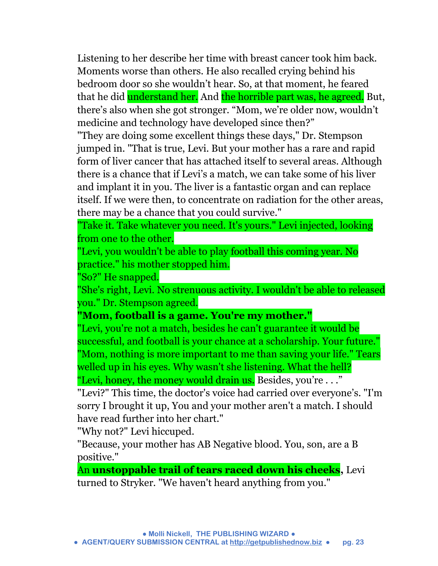Listening to her describe her time with breast cancer took him back. Moments worse than others. He also recalled crying behind his bedroom door so she wouldn't hear. So, at that moment, he feared that he did understand her. And the horrible part was, he agreed. But, there's also when she got stronger. "Mom, we're older now, wouldn't medicine and technology have developed since then?"

"They are doing some excellent things these days," Dr. Stempson jumped in. "That is true, Levi. But your mother has a rare and rapid form of liver cancer that has attached itself to several areas. Although there is a chance that if Levi's a match, we can take some of his liver and implant it in you. The liver is a fantastic organ and can replace itself. If we were then, to concentrate on radiation for the other areas, there may be a chance that you could survive."

"Take it. Take whatever you need. It's yours." Levi injected, looking from one to the other.

"Levi, you wouldn't be able to play football this coming year. No practice." his mother stopped him.

"So?" He snapped.

"She's right, Levi. No strenuous activity. I wouldn't be able to released you." Dr. Stempson agreed.

**"Mom, football is a game. You're my mother."**

"Levi, you're not a match, besides he can't guarantee it would be successful, and football is your chance at a scholarship. Your future." "Mom, nothing is more important to me than saving your life." Tears welled up in his eyes. Why wasn't she listening. What the hell? "Levi, honey, the money would drain us. Besides, you're . . ."

"Levi?" This time, the doctor's voice had carried over everyone's. "I'm sorry I brought it up, You and your mother aren't a match. I should have read further into her chart."

"Why not?" Levi hiccuped.

"Because, your mother has AB Negative blood. You, son, are a B positive."

An **unstoppable trail of tears raced down his cheeks,** Levi turned to Stryker. "We haven't heard anything from you."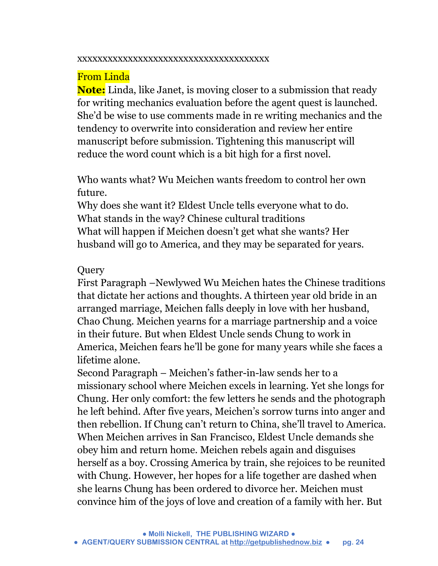#### xxxxxxxxxxxxxxxxxxxxxxxxxxxxxxxxxxxxxx

## From Linda

**Note:** Linda, like Janet, is moving closer to a submission that ready for writing mechanics evaluation before the agent quest is launched. She'd be wise to use comments made in re writing mechanics and the tendency to overwrite into consideration and review her entire manuscript before submission. Tightening this manuscript will reduce the word count which is a bit high for a first novel.

Who wants what? Wu Meichen wants freedom to control her own future.

Why does she want it? Eldest Uncle tells everyone what to do. What stands in the way? Chinese cultural traditions What will happen if Meichen doesn't get what she wants? Her husband will go to America, and they may be separated for years.

### Query

First Paragraph –Newlywed Wu Meichen hates the Chinese traditions that dictate her actions and thoughts. A thirteen year old bride in an arranged marriage, Meichen falls deeply in love with her husband, Chao Chung. Meichen yearns for a marriage partnership and a voice in their future. But when Eldest Uncle sends Chung to work in America, Meichen fears he'll be gone for many years while she faces a lifetime alone.

Second Paragraph – Meichen's father-in-law sends her to a missionary school where Meichen excels in learning. Yet she longs for Chung. Her only comfort: the few letters he sends and the photograph he left behind. After five years, Meichen's sorrow turns into anger and then rebellion. If Chung can't return to China, she'll travel to America. When Meichen arrives in San Francisco, Eldest Uncle demands she obey him and return home. Meichen rebels again and disguises herself as a boy. Crossing America by train, she rejoices to be reunited with Chung. However, her hopes for a life together are dashed when she learns Chung has been ordered to divorce her. Meichen must convince him of the joys of love and creation of a family with her. But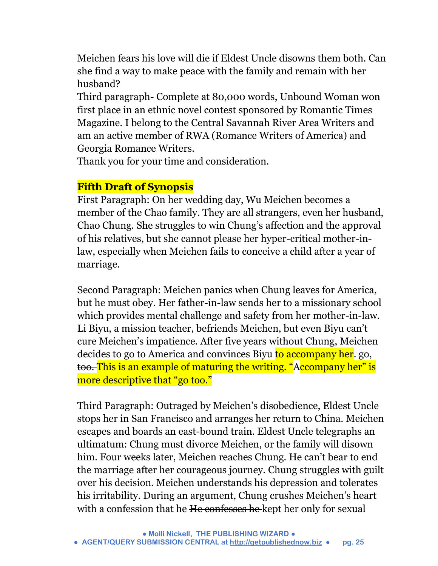Meichen fears his love will die if Eldest Uncle disowns them both. Can she find a way to make peace with the family and remain with her husband?

Third paragraph- Complete at 80,000 words, Unbound Woman won first place in an ethnic novel contest sponsored by Romantic Times Magazine. I belong to the Central Savannah River Area Writers and am an active member of RWA (Romance Writers of America) and Georgia Romance Writers.

Thank you for your time and consideration.

## **Fifth Draft of Synopsis**

First Paragraph: On her wedding day, Wu Meichen becomes a member of the Chao family. They are all strangers, even her husband, Chao Chung. She struggles to win Chung's affection and the approval of his relatives, but she cannot please her hyper-critical mother-inlaw, especially when Meichen fails to conceive a child after a year of marriage.

Second Paragraph: Meichen panics when Chung leaves for America, but he must obey. Her father-in-law sends her to a missionary school which provides mental challenge and safety from her mother-in-law. Li Biyu, a mission teacher, befriends Meichen, but even Biyu can't cure Meichen's impatience. After five years without Chung, Meichen decides to go to America and convinces Biyu to accompany her. go, too. This is an example of maturing the writing. "Accompany her" is more descriptive that "go too."

Third Paragraph: Outraged by Meichen's disobedience, Eldest Uncle stops her in San Francisco and arranges her return to China. Meichen escapes and boards an east-bound train. Eldest Uncle telegraphs an ultimatum: Chung must divorce Meichen, or the family will disown him. Four weeks later, Meichen reaches Chung. He can't bear to end the marriage after her courageous journey. Chung struggles with guilt over his decision. Meichen understands his depression and tolerates his irritability. During an argument, Chung crushes Meichen's heart with a confession that he He confesses he kept her only for sexual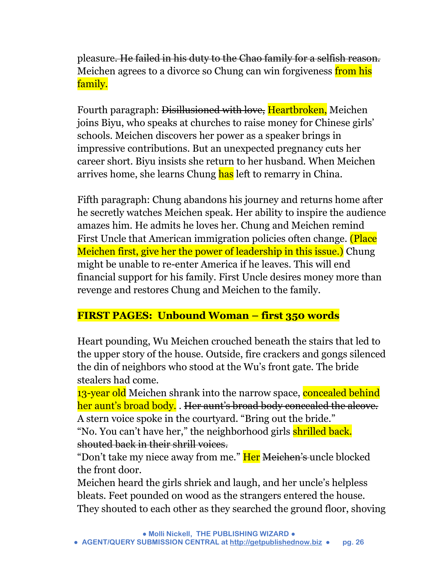pleasure. He failed in his duty to the Chao family for a selfish reason. Meichen agrees to a divorce so Chung can win forgiveness from his family.

Fourth paragraph: Disillusioned with love, Heartbroken, Meichen joins Biyu, who speaks at churches to raise money for Chinese girls' schools. Meichen discovers her power as a speaker brings in impressive contributions. But an unexpected pregnancy cuts her career short. Biyu insists she return to her husband. When Meichen arrives home, she learns Chung has left to remarry in China.

Fifth paragraph: Chung abandons his journey and returns home after he secretly watches Meichen speak. Her ability to inspire the audience amazes him. He admits he loves her. Chung and Meichen remind First Uncle that American immigration policies often change. (Place Meichen first, give her the power of leadership in this issue.) Chung might be unable to re-enter America if he leaves. This will end financial support for his family. First Uncle desires money more than revenge and restores Chung and Meichen to the family.

## **FIRST PAGES: Unbound Woman – first 350 words**

Heart pounding, Wu Meichen crouched beneath the stairs that led to the upper story of the house. Outside, fire crackers and gongs silenced the din of neighbors who stood at the Wu's front gate. The bride stealers had come.

13-year old Meichen shrank into the narrow space, concealed behind her aunt's broad body. . Her aunt's broad body concealed the alcove. A stern voice spoke in the courtyard. "Bring out the bride."

"No. You can't have her," the neighborhood girls shrilled back. shouted back in their shrill voices.

"Don't take my niece away from me." Her Meichen's uncle blocked the front door.

Meichen heard the girls shriek and laugh, and her uncle's helpless bleats. Feet pounded on wood as the strangers entered the house. They shouted to each other as they searched the ground floor, shoving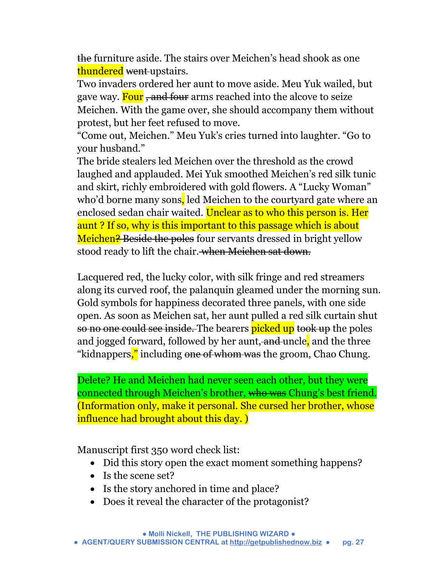the furniture aside. The stairs over Meichen's head shook as one thundered <del>went u</del>pstairs.

Two invaders ordered her aunt to move aside. Meu Yuk wailed, but gave way. Four, and four arms reached into the alcove to seize Meichen. With the game over, she should accompany them without protest, but her feet refused to move.

"Come out, Meichen." Meu Yuk's cries turned into laughter. "Go to your husband."

The bride stealers led Meichen over the threshold as the crowd laughed and applauded. Mei Yuk smoothed Meichen's red silk tunic and skirt, richly embroidered with gold flowers. A "Lucky Woman" who'd borne many sons, led Meichen to the courtyard gate where an enclosed sedan chair waited. Unclear as to who this person is. Her aunt ? If so, why is this important to this passage which is about Meichen? Beside the poles four servants dressed in bright yellow stood ready to lift the chair. when Meichen sat down.

Lacquered red, the lucky color, with silk fringe and red streamers along its curved roof, the palanquin gleamed under the morning sun. Gold symbols for happiness decorated three panels, with one side open. As soon as Meichen sat, her aunt pulled a red silk curtain shut so no one could see inside. The bearers picked up took up the poles and jogged forward, followed by her aunt, and uncle, and the three "kidnappers," including <del>one of whom was</del> the groom, Chao Chung.

Delete? He and Meichen had never seen each other, but they were connected through Meichen's brother, who was Chung's best friend. (Information only, make it personal. She cursed her brother, whose influence had brought about this day. )

Manuscript first 350 word check list:

- Did this story open the exact moment something happens?
- Is the scene set?
- Is the story anchored in time and place?
- Does it reveal the character of the protagonist?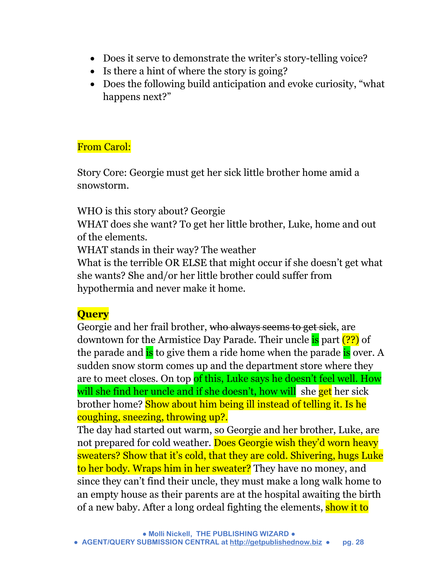- Does it serve to demonstrate the writer's story-telling voice?
- Is there a hint of where the story is going?
- Does the following build anticipation and evoke curiosity, "what happens next?"

## From Carol:

Story Core: Georgie must get her sick little brother home amid a snowstorm.

WHO is this story about? Georgie

WHAT does she want? To get her little brother, Luke, home and out of the elements.

WHAT stands in their way? The weather

What is the terrible OR ELSE that might occur if she doesn't get what she wants? She and/or her little brother could suffer from hypothermia and never make it home.

## **Query**

Georgie and her frail brother, who always seems to get sick, are downtown for the Armistice Day Parade. Their uncle is part (??) of the parade and is to give them a ride home when the parade is over. A sudden snow storm comes up and the department store where they are to meet closes. On top of this, Luke says he doesn't feel well. How will she find her uncle and if she doesn't, how will she get her sick brother home? Show about him being ill instead of telling it. Is he coughing, sneezing, throwing up?.

The day had started out warm, so Georgie and her brother, Luke, are not prepared for cold weather. Does Georgie wish they'd worn heavy sweaters? Show that it's cold, that they are cold. Shivering, hugs Luke to her body. Wraps him in her sweater? They have no money, and since they can't find their uncle, they must make a long walk home to an empty house as their parents are at the hospital awaiting the birth of a new baby. After a long ordeal fighting the elements, show it to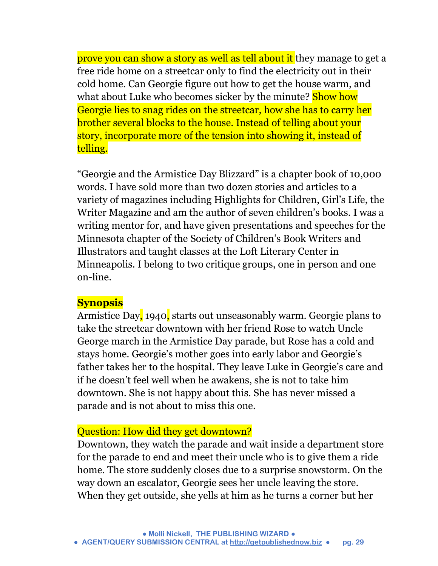prove you can show a story as well as tell about it they manage to get a free ride home on a streetcar only to find the electricity out in their cold home. Can Georgie figure out how to get the house warm, and what about Luke who becomes sicker by the minute? **Show how** Georgie lies to snag rides on the streetcar, how she has to carry her brother several blocks to the house. Instead of telling about your story, incorporate more of the tension into showing it, instead of telling.

"Georgie and the Armistice Day Blizzard" is a chapter book of 10,000 words. I have sold more than two dozen stories and articles to a variety of magazines including Highlights for Children, Girl's Life, the Writer Magazine and am the author of seven children's books. I was a writing mentor for, and have given presentations and speeches for the Minnesota chapter of the Society of Children's Book Writers and Illustrators and taught classes at the Loft Literary Center in Minneapolis. I belong to two critique groups, one in person and one on-line.

#### **Synopsis**

Armistice Day, 1940, starts out unseasonably warm. Georgie plans to take the streetcar downtown with her friend Rose to watch Uncle George march in the Armistice Day parade, but Rose has a cold and stays home. Georgie's mother goes into early labor and Georgie's father takes her to the hospital. They leave Luke in Georgie's care and if he doesn't feel well when he awakens, she is not to take him downtown. She is not happy about this. She has never missed a parade and is not about to miss this one.

#### Question: How did they get downtown?

Downtown, they watch the parade and wait inside a department store for the parade to end and meet their uncle who is to give them a ride home. The store suddenly closes due to a surprise snowstorm. On the way down an escalator, Georgie sees her uncle leaving the store. When they get outside, she yells at him as he turns a corner but her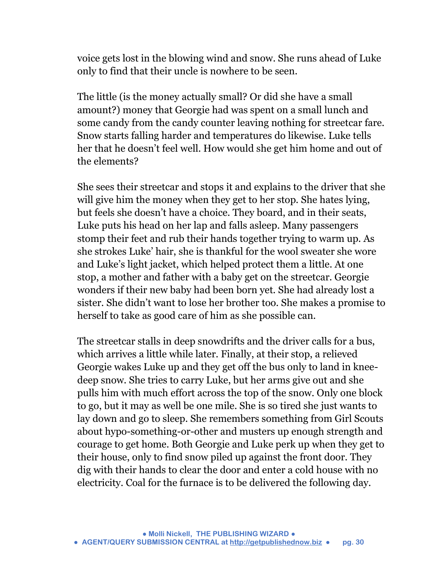voice gets lost in the blowing wind and snow. She runs ahead of Luke only to find that their uncle is nowhere to be seen.

The little (is the money actually small? Or did she have a small amount?) money that Georgie had was spent on a small lunch and some candy from the candy counter leaving nothing for streetcar fare. Snow starts falling harder and temperatures do likewise. Luke tells her that he doesn't feel well. How would she get him home and out of the elements?

She sees their streetcar and stops it and explains to the driver that she will give him the money when they get to her stop. She hates lying, but feels she doesn't have a choice. They board, and in their seats, Luke puts his head on her lap and falls asleep. Many passengers stomp their feet and rub their hands together trying to warm up. As she strokes Luke' hair, she is thankful for the wool sweater she wore and Luke's light jacket, which helped protect them a little. At one stop, a mother and father with a baby get on the streetcar. Georgie wonders if their new baby had been born yet. She had already lost a sister. She didn't want to lose her brother too. She makes a promise to herself to take as good care of him as she possible can.

The streetcar stalls in deep snowdrifts and the driver calls for a bus, which arrives a little while later. Finally, at their stop, a relieved Georgie wakes Luke up and they get off the bus only to land in kneedeep snow. She tries to carry Luke, but her arms give out and she pulls him with much effort across the top of the snow. Only one block to go, but it may as well be one mile. She is so tired she just wants to lay down and go to sleep. She remembers something from Girl Scouts about hypo-something-or-other and musters up enough strength and courage to get home. Both Georgie and Luke perk up when they get to their house, only to find snow piled up against the front door. They dig with their hands to clear the door and enter a cold house with no electricity. Coal for the furnace is to be delivered the following day.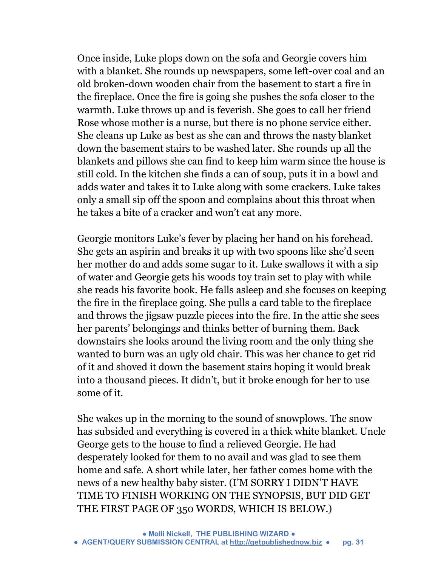Once inside, Luke plops down on the sofa and Georgie covers him with a blanket. She rounds up newspapers, some left-over coal and an old broken-down wooden chair from the basement to start a fire in the fireplace. Once the fire is going she pushes the sofa closer to the warmth. Luke throws up and is feverish. She goes to call her friend Rose whose mother is a nurse, but there is no phone service either. She cleans up Luke as best as she can and throws the nasty blanket down the basement stairs to be washed later. She rounds up all the blankets and pillows she can find to keep him warm since the house is still cold. In the kitchen she finds a can of soup, puts it in a bowl and adds water and takes it to Luke along with some crackers. Luke takes only a small sip off the spoon and complains about this throat when he takes a bite of a cracker and won't eat any more.

Georgie monitors Luke's fever by placing her hand on his forehead. She gets an aspirin and breaks it up with two spoons like she'd seen her mother do and adds some sugar to it. Luke swallows it with a sip of water and Georgie gets his woods toy train set to play with while she reads his favorite book. He falls asleep and she focuses on keeping the fire in the fireplace going. She pulls a card table to the fireplace and throws the jigsaw puzzle pieces into the fire. In the attic she sees her parents' belongings and thinks better of burning them. Back downstairs she looks around the living room and the only thing she wanted to burn was an ugly old chair. This was her chance to get rid of it and shoved it down the basement stairs hoping it would break into a thousand pieces. It didn't, but it broke enough for her to use some of it.

She wakes up in the morning to the sound of snowplows. The snow has subsided and everything is covered in a thick white blanket. Uncle George gets to the house to find a relieved Georgie. He had desperately looked for them to no avail and was glad to see them home and safe. A short while later, her father comes home with the news of a new healthy baby sister. (I'M SORRY I DIDN'T HAVE TIME TO FINISH WORKING ON THE SYNOPSIS, BUT DID GET THE FIRST PAGE OF 350 WORDS, WHICH IS BELOW.)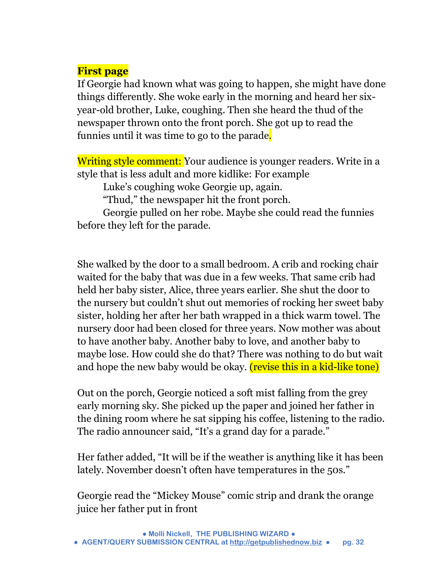## **First page**

If Georgie had known what was going to happen, she might have done things differently. She woke early in the morning and heard her sixyear-old brother, Luke, coughing. Then she heard the thud of the newspaper thrown onto the front porch. She got up to read the funnies until it was time to go to the parade.

Writing style comment: Your audience is younger readers. Write in a style that is less adult and more kidlike: For example

Luke's coughing woke Georgie up, again.

"Thud," the newspaper hit the front porch.

Georgie pulled on her robe. Maybe she could read the funnies before they left for the parade.

She walked by the door to a small bedroom. A crib and rocking chair waited for the baby that was due in a few weeks. That same crib had held her baby sister, Alice, three years earlier. She shut the door to the nursery but couldn't shut out memories of rocking her sweet baby sister, holding her after her bath wrapped in a thick warm towel. The nursery door had been closed for three years. Now mother was about to have another baby. Another baby to love, and another baby to maybe lose. How could she do that? There was nothing to do but wait and hope the new baby would be okay. (revise this in a kid-like tone)

Out on the porch, Georgie noticed a soft mist falling from the grey early morning sky. She picked up the paper and joined her father in the dining room where he sat sipping his coffee, listening to the radio. The radio announcer said, "It's a grand day for a parade."

Her father added, "It will be if the weather is anything like it has been lately. November doesn't often have temperatures in the 50s."

Georgie read the "Mickey Mouse" comic strip and drank the orange juice her father put in front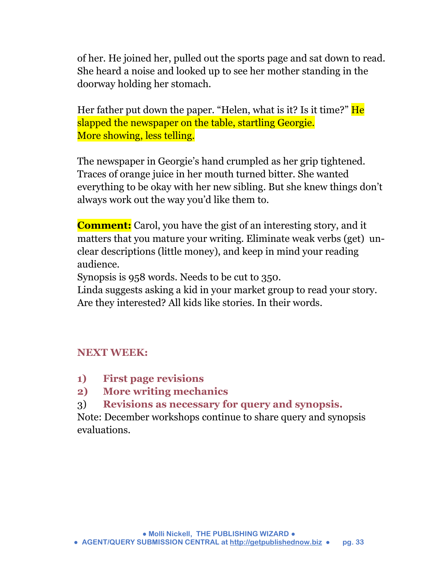of her. He joined her, pulled out the sports page and sat down to read. She heard a noise and looked up to see her mother standing in the doorway holding her stomach.

Her father put down the paper. "Helen, what is it? Is it time?" He slapped the newspaper on the table, startling Georgie. More showing, less telling.

The newspaper in Georgie's hand crumpled as her grip tightened. Traces of orange juice in her mouth turned bitter. She wanted everything to be okay with her new sibling. But she knew things don't always work out the way you'd like them to.

**Comment:** Carol, you have the gist of an interesting story, and it matters that you mature your writing. Eliminate weak verbs (get) unclear descriptions (little money), and keep in mind your reading audience.

Synopsis is 958 words. Needs to be cut to 350.

Linda suggests asking a kid in your market group to read your story. Are they interested? All kids like stories. In their words.

## **NEXT WEEK:**

- **1) First page revisions**
- **2) More writing mechanics**
- 3) **Revisions as necessary for query and synopsis.**

Note: December workshops continue to share query and synopsis evaluations.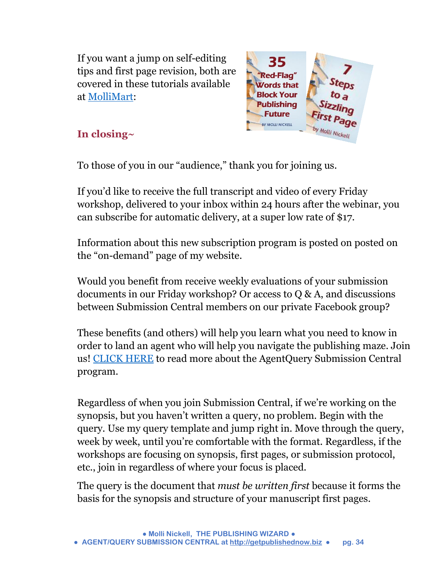If you want a jump on self-editing tips and first page revision, both are covered in these tutorials available at [MolliMart:](http://www.getpublishednow.biz/mollimart.html)



## **In closing~**

To those of you in our "audience," thank you for joining us.

If you'd like to receive the full transcript and video of every Friday workshop, delivered to your inbox within 24 hours after the webinar, you can subscribe for automatic delivery, at a super low rate of \$17.

Information about this new subscription program is posted on posted on the "on-demand" page of my website.

Would you benefit from receive weekly evaluations of your submission documents in our Friday workshop? Or access to Q & A, and discussions between Submission Central members on our private Facebook group?

These benefits (and others) will help you learn what you need to know in order to land an agent who will help you navigate the publishing maze. Join us! [CLICK HERE](http://www.getpublishednow.biz/agentquery-submission-central.html) to read more about the AgentQuery Submission Central program.

Regardless of when you join Submission Central, if we're working on the synopsis, but you haven't written a query, no problem. Begin with the query. Use my query template and jump right in. Move through the query, week by week, until you're comfortable with the format. Regardless, if the workshops are focusing on synopsis, first pages, or submission protocol, etc., join in regardless of where your focus is placed.

The query is the document that *must be written first* because it forms the basis for the synopsis and structure of your manuscript first pages.